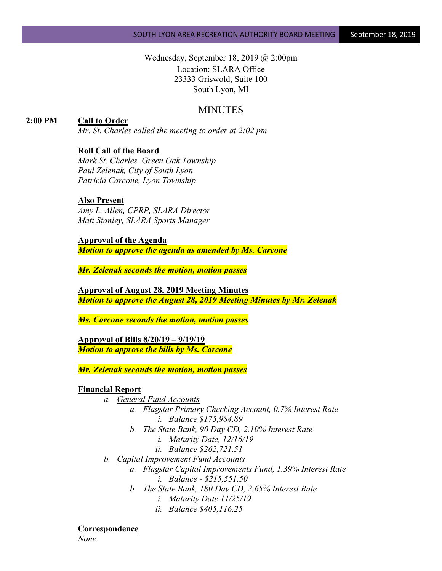Wednesday, September 18, 2019 @ 2:00pm Location: SLARA Office 23333 Griswold, Suite 100 South Lyon, MI

# MINUTES

# **2:00 PM Call to Order**

*Mr. St. Charles called the meeting to order at 2:02 pm*

# **Roll Call of the Board**

*Mark St. Charles, Green Oak Township Paul Zelenak, City of South Lyon Patricia Carcone, Lyon Township*

## **Also Present**

*Amy L. Allen, CPRP, SLARA Director Matt Stanley, SLARA Sports Manager*

**Approval of the Agenda** *Motion to approve the agenda as amended by Ms. Carcone*

*Mr. Zelenak seconds the motion, motion passes*

**Approval of August 28, 2019 Meeting Minutes** *Motion to approve the August 28, 2019 Meeting Minutes by Mr. Zelenak*

*Ms. Carcone seconds the motion, motion passes*

**Approval of Bills 8/20/19 – 9/19/19** *Motion to approve the bills by Ms. Carcone*

*Mr. Zelenak seconds the motion, motion passes*

## **Financial Report**

- *a. General Fund Accounts*
	- *a. Flagstar Primary Checking Account, 0.7% Interest Rate i. Balance \$175,984.89*
	- *b. The State Bank, 90 Day CD, 2.10% Interest Rate*
		- *i. Maturity Date, 12/16/19*
		- *ii. Balance \$262,721.51*
- *b. Capital Improvement Fund Accounts*
	- *a. Flagstar Capital Improvements Fund, 1.39% Interest Rate i. Balance - \$215,551.50*
	- *b. The State Bank, 180 Day CD, 2.65% Interest Rate*
		- *i. Maturity Date 11/25/19*
		- *ii. Balance \$405,116.25*

## **Correspondence**

*None*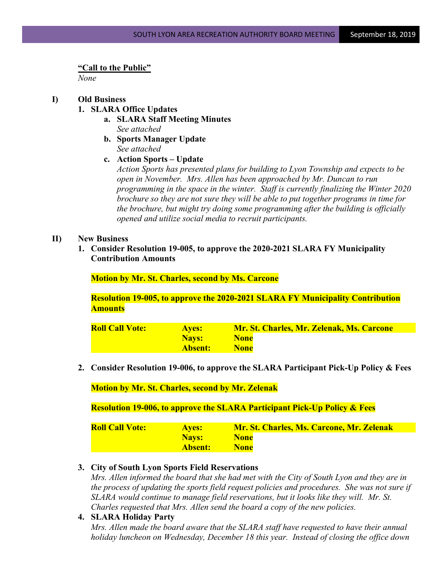#### **"Call to the Public"**

*None*

## **I) Old Business**

- **1. SLARA Office Updates**
	- **a. SLARA Staff Meeting Minutes** *See attached*
	- **b. Sports Manager Update** *See attached*
	- **c. Action Sports – Update**

*Action Sports has presented plans for building to Lyon Township and expects to be open in November. Mrs. Allen has been approached by Mr. Duncan to run programming in the space in the winter. Staff is currently finalizing the Winter 2020 brochure so they are not sure they will be able to put together programs in time for the brochure, but might try doing some programming after the building is officially opened and utilize social media to recruit participants.*

## **II) New Business**

**1. Consider Resolution 19-005, to approve the 2020-2021 SLARA FY Municipality Contribution Amounts**

**Motion by Mr. St. Charles, second by Ms. Carcone**

**Resolution 19-005, to approve the 2020-2021 SLARA FY Municipality Contribution Amounts**

| <b>Roll Call Vote:</b> | <b>Aves:</b>   | <b>Mr. St. Charles, Mr. Zelenak, Ms. Carcone</b> |
|------------------------|----------------|--------------------------------------------------|
|                        | <b>Navs:</b>   | <b>None</b>                                      |
|                        | <b>Absent:</b> | <b>None</b>                                      |

**2. Consider Resolution 19-006, to approve the SLARA Participant Pick-Up Policy & Fees**

**Motion by Mr. St. Charles, second by Mr. Zelenak**

**Resolution 19-006, to approve the SLARA Participant Pick-Up Policy & Fees**

| <b>Roll Call Vote:</b> | <b>Aves:</b> | <b>Mr. St. Charles, Ms. Carcone, Mr. Zelenak</b> |
|------------------------|--------------|--------------------------------------------------|
|                        | Navs:        | <b>None</b>                                      |
|                        | Absent:      | <b>None</b>                                      |

## **3. City of South Lyon Sports Field Reservations**

*Mrs. Allen informed the board that she had met with the City of South Lyon and they are in the process of updating the sports field request policies and procedures. She was not sure if SLARA would continue to manage field reservations, but it looks like they will. Mr. St. Charles requested that Mrs. Allen send the board a copy of the new policies.*

**4. SLARA Holiday Party** *Mrs. Allen made the board aware that the SLARA staff have requested to have their annual holiday luncheon on Wednesday, December 18 this year. Instead of closing the office down*